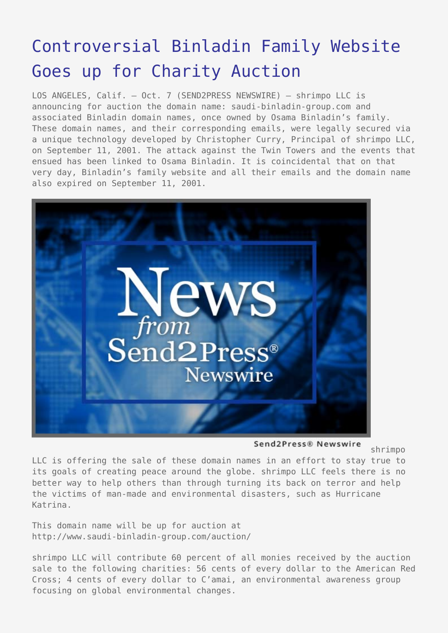## [Controversial Binladin Family Website](https://www.send2press.com/wire/2005-10-1007-003/) [Goes up for Charity Auction](https://www.send2press.com/wire/2005-10-1007-003/)

LOS ANGELES, Calif. – Oct. 7 (SEND2PRESS NEWSWIRE) — shrimpo LLC is announcing for auction the domain name: saudi-binladin-group.com and associated Binladin domain names, once owned by Osama Binladin's family. These domain names, and their corresponding emails, were legally secured via a unique technology developed by Christopher Curry, Principal of shrimpo LLC, on September 11, 2001. The attack against the Twin Towers and the events that ensued has been linked to Osama Binladin. It is coincidental that on that very day, Binladin's family website and all their emails and the domain name also expired on September 11, 2001.



Send2Press® Newswire

shrimpo

LLC is offering the sale of these domain names in an effort to stay true to its goals of creating peace around the globe. shrimpo LLC feels there is no better way to help others than through turning its back on terror and help the victims of man-made and environmental disasters, such as Hurricane Katrina.

This domain name will be up for auction at http://www.saudi-binladin-group.com/auction/

shrimpo LLC will contribute 60 percent of all monies received by the auction sale to the following charities: 56 cents of every dollar to the American Red Cross; 4 cents of every dollar to C'amai, an environmental awareness group focusing on global environmental changes.